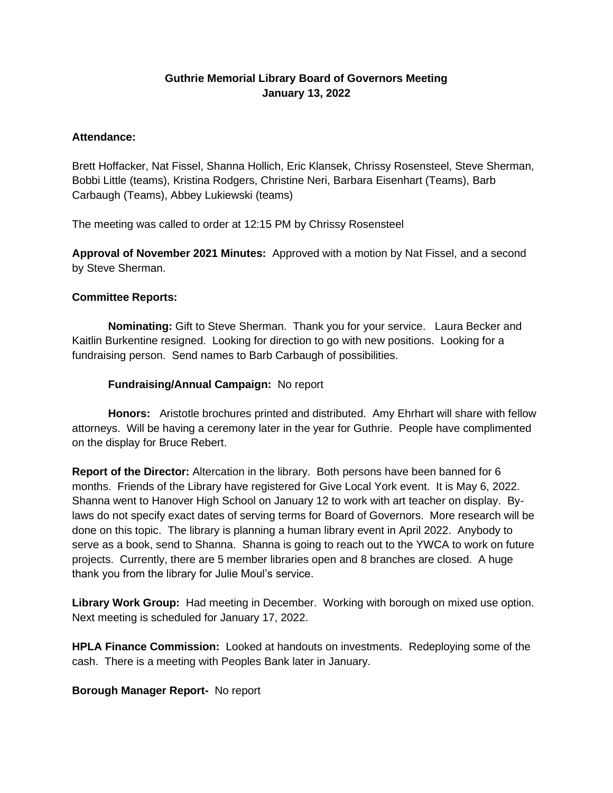# **Guthrie Memorial Library Board of Governors Meeting January 13, 2022**

### **Attendance:**

Brett Hoffacker, Nat Fissel, Shanna Hollich, Eric Klansek, Chrissy Rosensteel, Steve Sherman, Bobbi Little (teams), Kristina Rodgers, Christine Neri, Barbara Eisenhart (Teams), Barb Carbaugh (Teams), Abbey Lukiewski (teams)

The meeting was called to order at 12:15 PM by Chrissy Rosensteel

**Approval of November 2021 Minutes:** Approved with a motion by Nat Fissel, and a second by Steve Sherman.

### **Committee Reports:**

**Nominating:** Gift to Steve Sherman. Thank you for your service. Laura Becker and Kaitlin Burkentine resigned. Looking for direction to go with new positions. Looking for a fundraising person. Send names to Barb Carbaugh of possibilities.

## **Fundraising/Annual Campaign:** No report

**Honors:** Aristotle brochures printed and distributed. Amy Ehrhart will share with fellow attorneys. Will be having a ceremony later in the year for Guthrie. People have complimented on the display for Bruce Rebert.

**Report of the Director:** Altercation in the library. Both persons have been banned for 6 months. Friends of the Library have registered for Give Local York event. It is May 6, 2022. Shanna went to Hanover High School on January 12 to work with art teacher on display. Bylaws do not specify exact dates of serving terms for Board of Governors. More research will be done on this topic. The library is planning a human library event in April 2022. Anybody to serve as a book, send to Shanna. Shanna is going to reach out to the YWCA to work on future projects. Currently, there are 5 member libraries open and 8 branches are closed. A huge thank you from the library for Julie Moul's service.

**Library Work Group:** Had meeting in December. Working with borough on mixed use option. Next meeting is scheduled for January 17, 2022.

**HPLA Finance Commission:** Looked at handouts on investments. Redeploying some of the cash. There is a meeting with Peoples Bank later in January.

### **Borough Manager Report-** No report